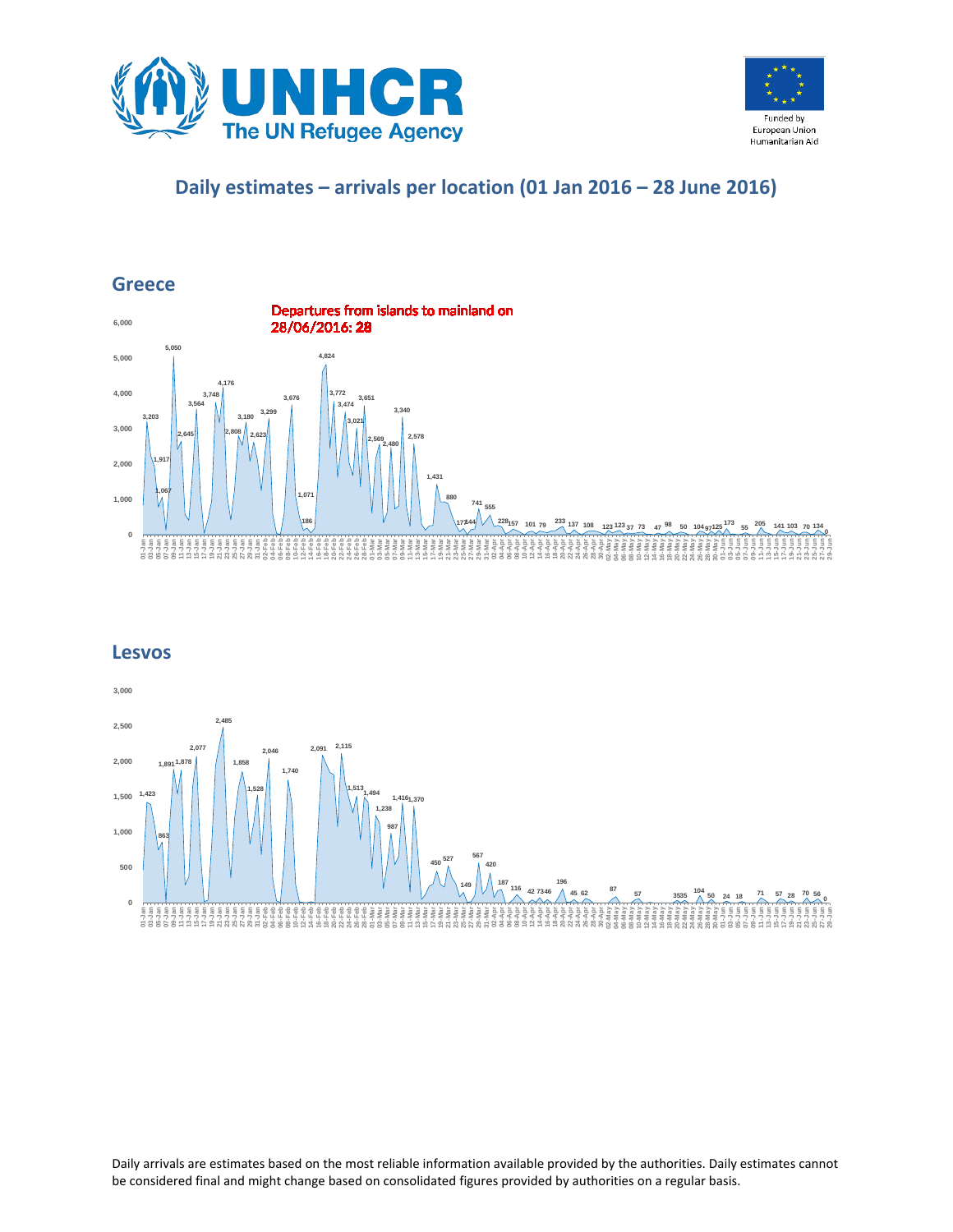



## **Daily estimates – arrivals per location (01 Jan 2016 – 28 June 2016)**

## **Greece**



#### **Lesvos**



Daily arrivals are estimates based on the most reliable information available provided by the authorities. Daily estimates cannot be considered final and might change based on consolidated figures provided by authorities on a regular basis.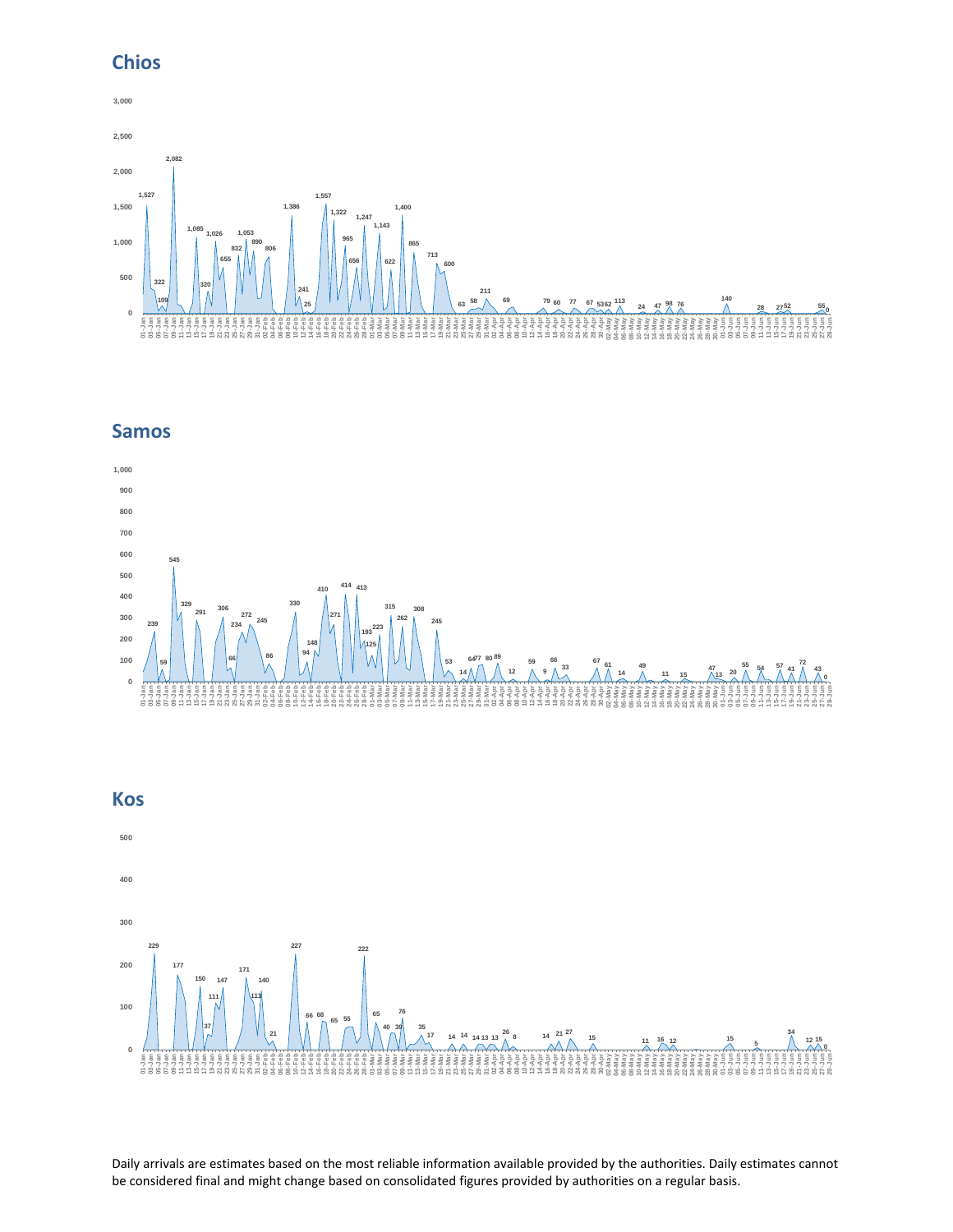## **Chios**



## **Samos**





Daily arrivals are estimates based on the most reliable information available provided by the authorities. Daily estimates cannot be considered final and might change based on consolidated figures provided by authorities on a regular basis.